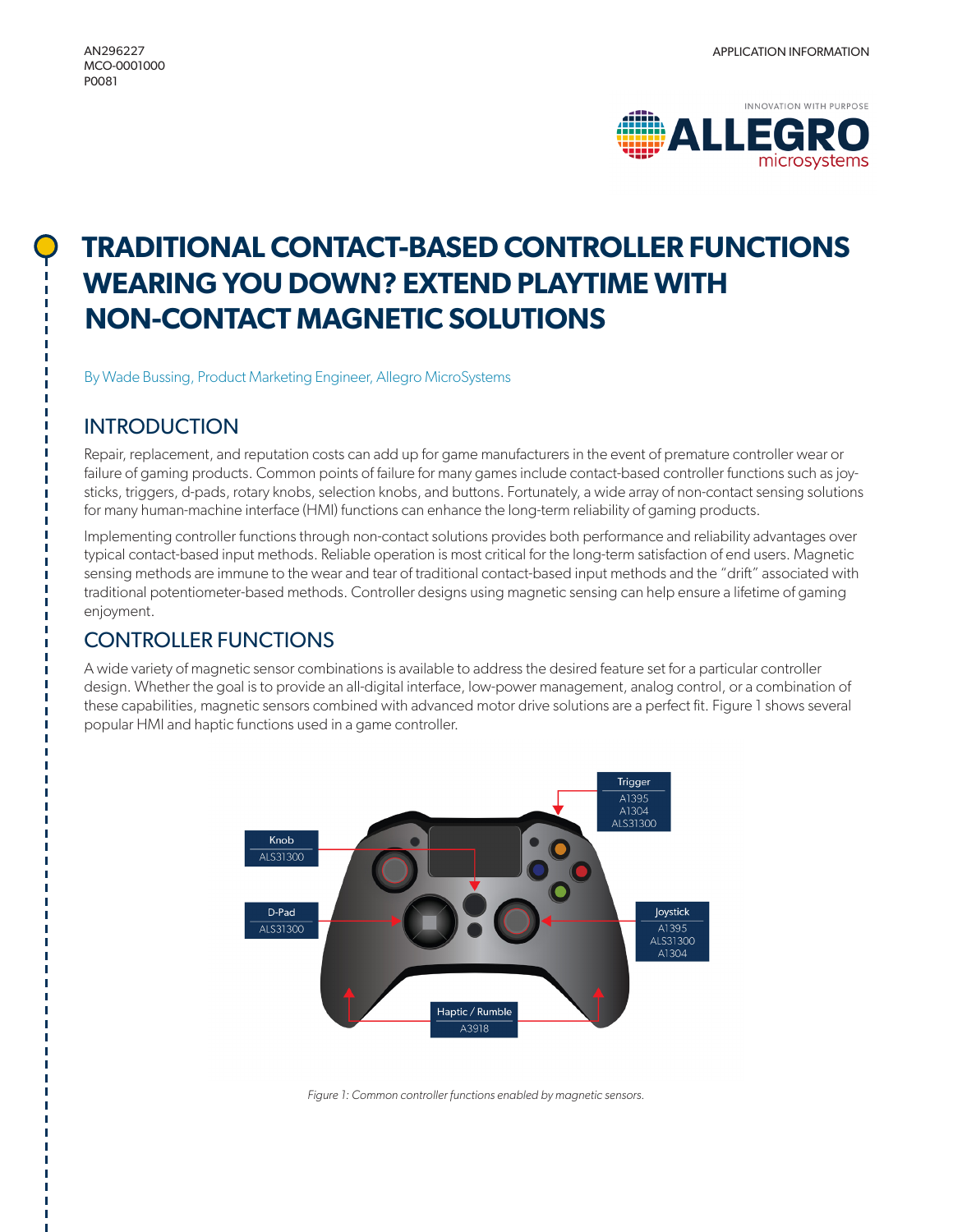

# **TRADITIONAL CONTACT-BASED CONTROLLER FUNCTIONS WEARING YOU DOWN? EXTEND PLAYTIME WITH NON-CONTACT MAGNETIC SOLUTIONS**

By Wade Bussing, Product Marketing Engineer, Allegro MicroSystems

# INTRODUCTION

Repair, replacement, and reputation costs can add up for game manufacturers in the event of premature controller wear or failure of gaming products. Common points of failure for many games include contact-based controller functions such as joysticks, triggers, d-pads, rotary knobs, selection knobs, and buttons. Fortunately, a wide array of non-contact sensing solutions for many human-machine interface (HMI) functions can enhance the long-term reliability of gaming products.

Implementing controller functions through non-contact solutions provides both performance and reliability advantages over typical contact-based input methods. Reliable operation is most critical for the long-term satisfaction of end users. Magnetic sensing methods are immune to the wear and tear of traditional contact-based input methods and the "drift" associated with traditional potentiometer-based methods. Controller designs using magnetic sensing can help ensure a lifetime of gaming enjoyment.

# CONTROLLER FUNCTIONS

A wide variety of magnetic sensor combinations is available to address the desired feature set for a particular controller design. Whether the goal is to provide an all-digital interface, low-power management, analog control, or a combination of these capabilities, magnetic sensors combined with advanced motor drive solutions are a perfect fit. Figure 1 shows several popular HMI and haptic functions used in a game controller.



*Figure 1: Common controller functions enabled by magnetic sensors.*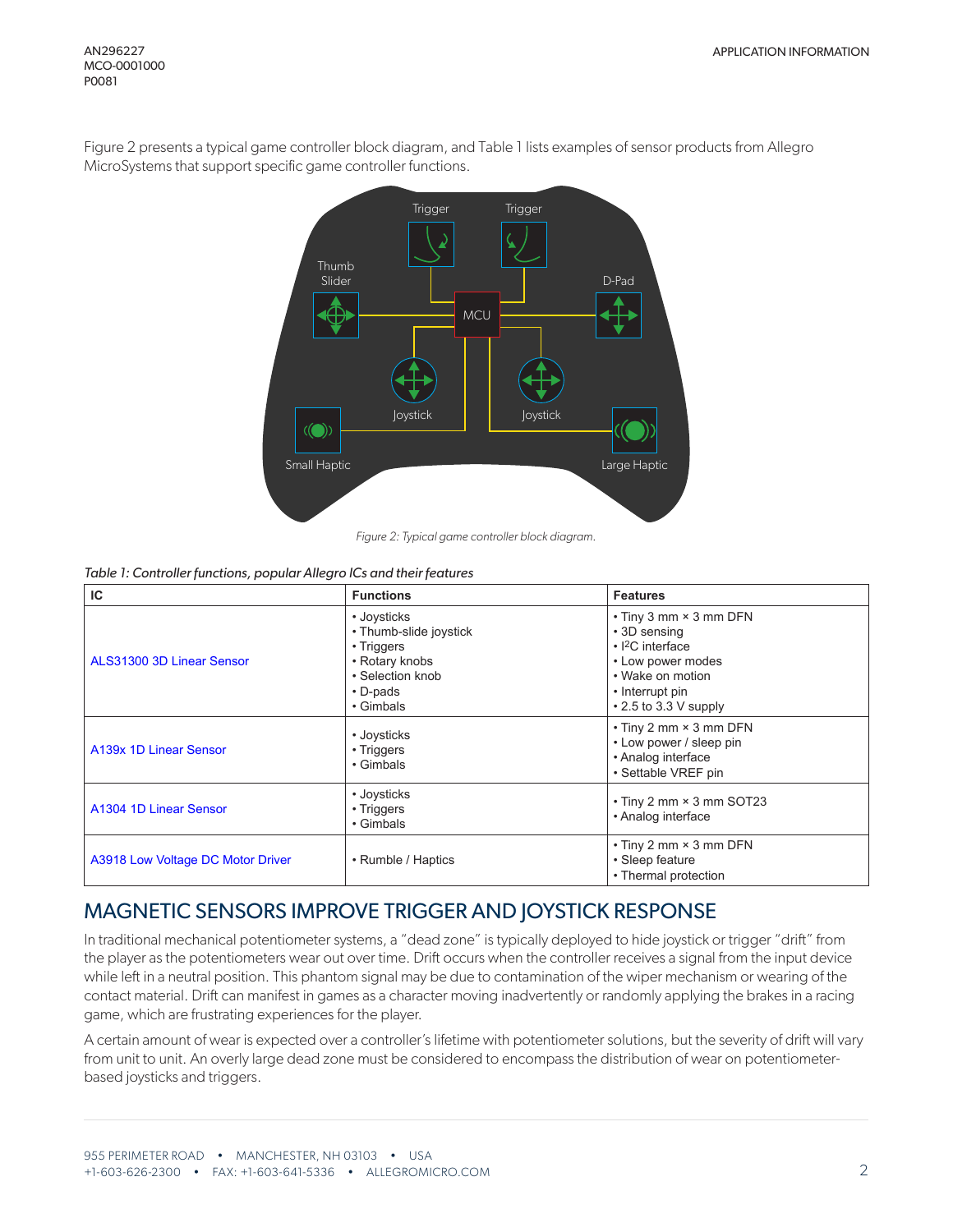Figure 2 presents a typical game controller block diagram, and Table 1 lists examples of sensor products from Allegro MicroSystems that support specific game controller functions.



*Table 1: Controller functions, popular Allegro ICs and their features*

| IC                                | <b>Functions</b>                                                                                                         | <b>Features</b>                                                                                                                                      |  |
|-----------------------------------|--------------------------------------------------------------------------------------------------------------------------|------------------------------------------------------------------------------------------------------------------------------------------------------|--|
| ALS31300 3D Linear Sensor         | • Joysticks<br>• Thumb-slide joystick<br>• Triggers<br>• Rotary knobs<br>• Selection knob<br>$\cdot$ D-pads<br>• Gimbals | • Tiny 3 mm × 3 mm DFN<br>• 3D sensing<br>$\cdot$  2C interface<br>• Low power modes<br>• Wake on motion<br>• Interrupt pin<br>• 2.5 to 3.3 V supply |  |
| A139x 1D Linear Sensor            | • Joysticks<br>• Triggers<br>• Gimbals                                                                                   | • Tiny 2 mm × 3 mm DFN<br>• Low power / sleep pin<br>• Analog interface<br>• Settable VREF pin                                                       |  |
| A1304 1D Linear Sensor            | • Joysticks<br>• Triggers<br>• Gimbals                                                                                   | • Tiny 2 mm × 3 mm SOT23<br>• Analog interface                                                                                                       |  |
| A3918 Low Voltage DC Motor Driver | • Rumble / Haptics                                                                                                       | $\cdot$ Tiny 2 mm $\times$ 3 mm DFN<br>• Sleep feature<br>• Thermal protection                                                                       |  |

## MAGNETIC SENSORS IMPROVE TRIGGER AND JOYSTICK RESPONSE

In traditional mechanical potentiometer systems, a "dead zone" is typically deployed to hide joystick or trigger "drift" from the player as the potentiometers wear out over time. Drift occurs when the controller receives a signal from the input device while left in a neutral position. This phantom signal may be due to contamination of the wiper mechanism or wearing of the contact material. Drift can manifest in games as a character moving inadvertently or randomly applying the brakes in a racing game, which are frustrating experiences for the player.

A certain amount of wear is expected over a controller's lifetime with potentiometer solutions, but the severity of drift will vary from unit to unit. An overly large dead zone must be considered to encompass the distribution of wear on potentiometerbased joysticks and triggers.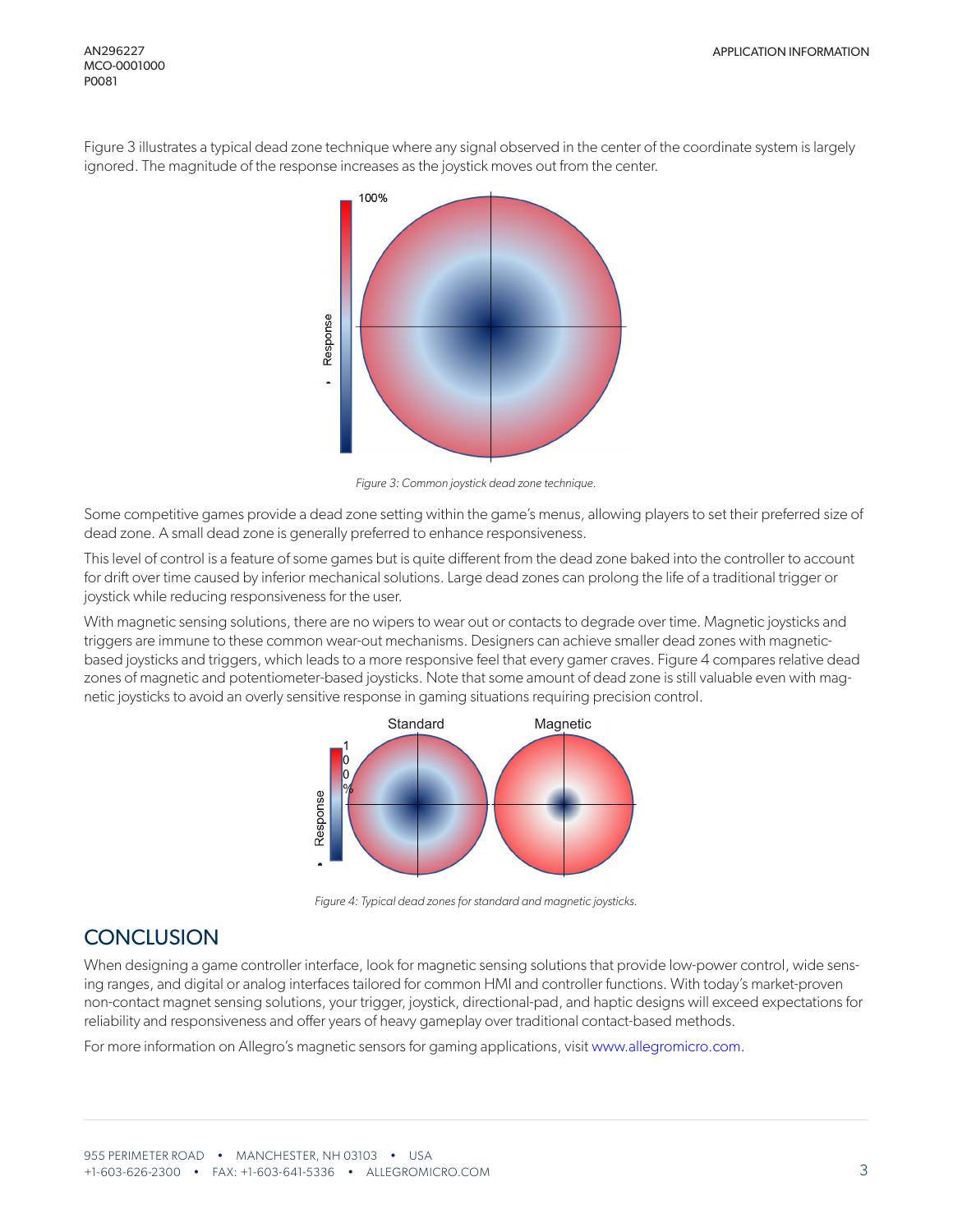Figure 3 illustrates a typical dead zone technique where any signal observed in the center of the coordinate system is largely ignored. The magnitude of the response increases as the joystick moves out from the center.



*Figure 3: Common joystick dead zone technique.*

Some competitive games provide a dead zone setting within the game's menus, allowing players to set their preferred size of dead zone. A small dead zone is generally preferred to enhance responsiveness.

This level of control is a feature of some games but is quite different from the dead zone baked into the controller to account for drift over time caused by inferior mechanical solutions. Large dead zones can prolong the life of a traditional trigger or joystick while reducing responsiveness for the user.

With magnetic sensing solutions, there are no wipers to wear out or contacts to degrade over time. Magnetic joysticks and triggers are immune to these common wear-out mechanisms. Designers can achieve smaller dead zones with magneticbased joysticks and triggers, which leads to a more responsive feel that every gamer craves. Figure 4 compares relative dead zones of magnetic and potentiometer-based joysticks. Note that some amount of dead zone is still valuable even with magnetic joysticks to avoid an overly sensitive response in gaming situations requiring precision control.



*Figure 4: Typical dead zones for standard and magnetic joysticks.*

# **CONCLUSION**

When designing a game controller interface, look for magnetic sensing solutions that provide low-power control, wide sensing ranges, and digital or analog interfaces tailored for common HMI and controller functions. With today's market-proven non-contact magnet sensing solutions, your trigger, joystick, directional-pad, and haptic designs will exceed expectations for reliability and responsiveness and offer years of heavy gameplay over traditional contact-based methods.

For more information on Allegro's magnetic sensors for gaming applications, visit [www.allegromicro.com](https://www.allegromicro.com).